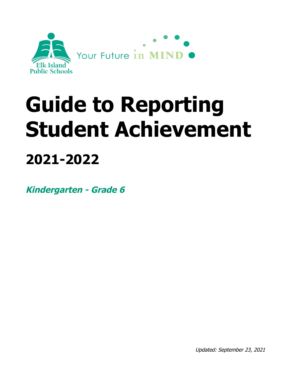

# **Guide to Reporting Student Achievement 2021-2022**

**Kindergarten - Grade 6**

Updated: September 23, 2021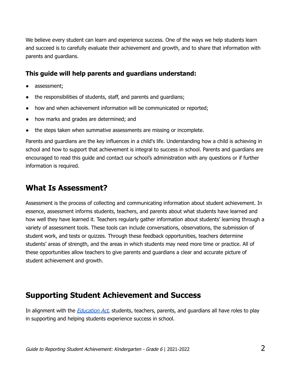We believe every student can learn and experience success. One of the ways we help students learn and succeed is to carefully evaluate their achievement and growth, and to share that information with parents and guardians.

#### **This guide will help parents and guardians understand:**

- assessment;
- the responsibilities of students, staff, and parents and quardians;
- how and when achievement information will be communicated or reported;
- how marks and grades are determined; and
- the steps taken when summative assessments are missing or incomplete.

Parents and guardians are the key influences in a child's life. Understanding how a child is achieving in school and how to support that achievement is integral to success in school. Parents and guardians are encouraged to read this guide and contact our school's administration with any questions or if further information is required.

# **What Is Assessment?**

Assessment is the process of collecting and communicating information about student achievement. In essence, assessment informs students, teachers, and parents about what students have learned and how well they have learned it. Teachers regularly gather information about students' learning through a variety of assessment tools. These tools can include conversations, observations, the submission of student work, and tests or quizzes. Through these feedback opportunities, teachers determine students' areas of strength, and the areas in which students may need more time or practice. All of these opportunities allow teachers to give parents and guardians a clear and accurate picture of student achievement and growth.

# **Supporting Student Achievement and Success**

In alignment with the *[Education](http://www.qp.alberta.ca/documents/Acts/e00p3.pdf) Act*, students, teachers, parents, and guardians all have roles to play in supporting and helping students experience success in school.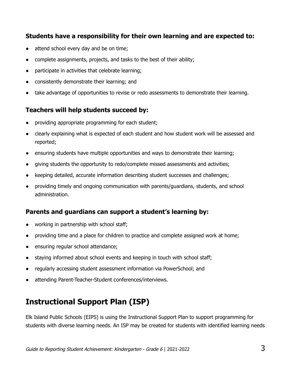#### **Students have a responsibility for their own learning and are expected to:**

- attend school every day and be on time;
- complete assignments, projects, and tasks to the best of their ability;
- participate in activities that celebrate learning;
- consistently demonstrate their learning; and
- take advantage of opportunities to revise or redo assessments to demonstrate their learning.

#### **Teachers will help students succeed by:**

- providing appropriate programming for each student;
- clearly explaining what is expected of each student and how student work will be assessed and reported;
- ensuring students have multiple opportunities and ways to demonstrate their learning;
- giving students the opportunity to redo/complete missed assessments and activities;
- keeping detailed, accurate information describing student successes and challenges;
- providing timely and ongoing communication with parents/guardians, students, and school administration.

#### **Parents and guardians can support a student's learning by:**

- working in partnership with school staff;
- providing time and a place for children to practice and complete assigned work at home;
- ensuring regular school attendance;
- staying informed about school events and keeping in touch with school staff;
- regularly accessing student assessment information via PowerSchool; and
- attending Parent-Teacher-Student conferences/interviews.

# **Instructional Support Plan (ISP)**

Elk Island Public Schools (EIPS) is using the Instructional Support Plan to support programming for students with diverse learning needs. An ISP may be created for students with identified learning needs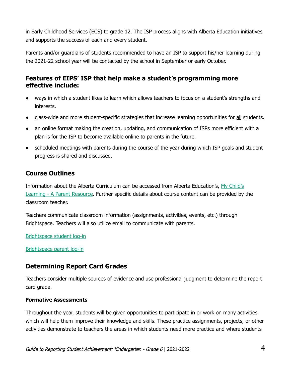in Early Childhood Services (ECS) to grade 12. The ISP process aligns with Alberta Education initiatives and supports the success of each and every student.

Parents and/or guardians of students recommended to have an ISP to support his/her learning during the 2021-22 school year will be contacted by the school in September or early October.

## **Features of EIPS' ISP that help make a student's programming more effective include:**

- ways in which a student likes to learn which allows teachers to focus on a student's strengths and interests.
- class-wide and more student-specific strategies that increase learning opportunities for all students.
- an online format making the creation, updating, and communication of ISPs more efficient with a plan is for the ISP to become available online to parents in the future.
- scheduled meetings with parents during the course of the year during which ISP goals and student progress is shared and discussed.

# **Course Outlines**

Information about the Alberta Curriculum can be accessed from Alberta Education's, My [Child's](https://www.learnalberta.ca/content/mychildslearning/) Learning - A Parent [Resource](https://www.learnalberta.ca/content/mychildslearning/). Further specific details about course content can be provided by the classroom teacher.

Teachers communicate classroom information (assignments, activities, events, etc.) through Brightspace. Teachers will also utilize email to communicate with parents.

[Brightspace](https://eips.brightspace.com/) student log-in

[Brightspace](https://eips.brightspace.com/d2l/local) parent log-in

## **Determining Report Card Grades**

Teachers consider multiple sources of evidence and use professional judgment to determine the report card grade.

#### **Formative Assessments**

Throughout the year, students will be given opportunities to participate in or work on many activities which will help them improve their knowledge and skills. These practice assignments, projects, or other activities demonstrate to teachers the areas in which students need more practice and where students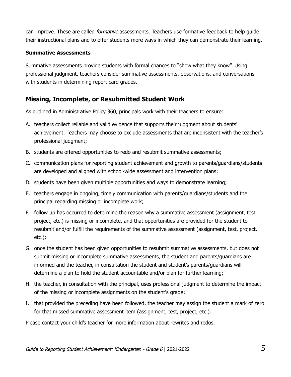can improve. These are called *formative* assessments. Teachers use formative feedback to help quide their instructional plans and to offer students more ways in which they can demonstrate their learning.

#### **Summative Assessments**

Summative assessments provide students with formal chances to "show what they know". Using professional judgment, teachers consider summative assessments, observations, and conversations with students in determining report card grades.

#### **Missing, Incomplete, or Resubmitted Student Work**

As outlined in Administrative Policy 360, principals work with their teachers to ensure:

- A. teachers collect reliable and valid evidence that supports their judgment about students' achievement. Teachers may choose to exclude assessments that are inconsistent with the teacher's professional judgment;
- B. students are offered opportunities to redo and resubmit summative assessments;
- C. communication plans for reporting student achievement and growth to parents/guardians/students are developed and aligned with school-wide assessment and intervention plans;
- D. students have been given multiple opportunities and ways to demonstrate learning;
- E. teachers engage in ongoing, timely communication with parents/guardians/students and the principal regarding missing or incomplete work;
- F. follow up has occurred to determine the reason why a summative assessment (assignment, test, project, etc.) is missing or incomplete, and that opportunities are provided for the student to resubmit and/or fulfill the requirements of the summative assessment (assignment, test, project, etc.);
- G. once the student has been given opportunities to resubmit summative assessments, but does not submit missing or incomplete summative assessments, the student and parents/guardians are informed and the teacher, in consultation the student and student's parents/guardians will determine a plan to hold the student accountable and/or plan for further learning;
- H. the teacher, in consultation with the principal, uses professional judgment to determine the impact of the missing or incomplete assignments on the student's grade;
- I. that provided the preceding have been followed, the teacher may assign the student a mark of zero for that missed summative assessment item (assignment, test, project, etc.).

Please contact your child's teacher for more information about rewrites and redos.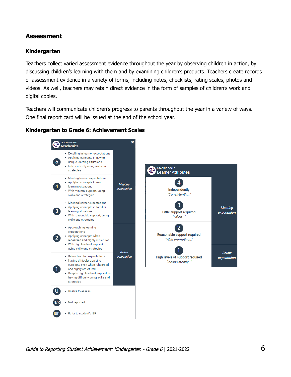#### **Assessment**

#### **Kindergarten**

Teachers collect varied assessment evidence throughout the year by observing children in action, by discussing children's learning with them and by examining children's products. Teachers create records of assessment evidence in a variety of forms, including notes, checklists, rating scales, photos and videos. As well, teachers may retain direct evidence in the form of samples of children's work and digital copies.

Teachers will communicate children's progress to parents throughout the year in a variety of ways. One final report card will be issued at the end of the school year.

#### **Kindergarten to Grade 6: Achievement Scales**

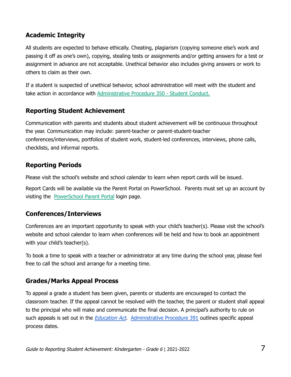# **Academic Integrity**

All students are expected to behave ethically. Cheating, plagiarism (copying someone else's work and passing it off as one's own), copying, stealing tests or assignments and/or getting answers for a test or assignment in advance are not acceptable. Unethical behavior also includes giving answers or work to others to claim as their own.

If a student is suspected of unethical behavior, school administration will meet with the student and take action in accordance with [Administrative](https://www.eips.ca/about-us/administrative-procedures/350) Procedure 350 - Student Conduct.

## **Reporting Student Achievement**

Communication with parents and students about student achievement will be continuous throughout the year. Communication may include: parent-teacher or parent-student-teacher conferences/interviews, portfolios of student work, student-led conferences, interviews, phone calls, checklists, and informal reports.

#### **Reporting Periods**

Please visit the school's website and school calendar to learn when report cards will be issued.

Report Cards will be available via the Parent Portal on PowerSchool. Parents must set up an account by visiting the [PowerSchool](http://www.eips.ca/schools/powerschool) Parent Portal login page.

## **Conferences/Interviews**

Conferences are an important opportunity to speak with your child's teacher(s). Please visit the school's website and school calendar to learn when conferences will be held and how to book an appointment with your child's teacher(s).

To book a time to speak with a teacher or administrator at any time during the school year, please feel free to call the school and arrange for a meeting time.

## **Grades/Marks Appeal Process**

To appeal a grade a student has been given, parents or students are encouraged to contact the classroom teacher. If the appeal cannot be resolved with the teacher, the parent or student shall appeal to the principal who will make and communicate the final decision. A principal's authority to rule on such appeals is set out in the *[Education](http://www.qp.alberta.ca/documents/Acts/e00p3.pdf) Act.* [Administrative](https://www.eips.ca/about-us/administrative-procedures/391) Procedure 391 outlines specific appeal process dates.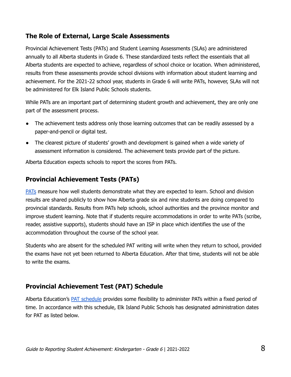## **The Role of External, Large Scale Assessments**

Provincial Achievement Tests (PATs) and Student Learning Assessments (SLAs) are administered annually to all Alberta students in Grade 6. These standardized tests reflect the essentials that all Alberta students are expected to achieve, regardless of school choice or location. When administered, results from these assessments provide school divisions with information about student learning and achievement. For the 2021-22 school year, students in Grade 6 will write PATs, however, SLAs will not be administered for Elk Island Public Schools students.

While PATs are an important part of determining student growth and achievement, they are only one part of the assessment process.

- The achievement tests address only those learning outcomes that can be readily assessed by a paper-and-pencil or digital test.
- The clearest picture of students' growth and development is gained when a wide variety of assessment information is considered. The achievement tests provide part of the picture.

Alberta Education expects schools to report the scores from PATs.

# **Provincial Achievement Tests (PATs)**

[PATs](https://www.alberta.ca/provincial-achievement-tests.aspx#toc-0) measure how well students demonstrate what they are expected to learn. School and division results are shared publicly to show how Alberta grade six and nine students are doing compared to provincial standards. Results from PATs help schools, school authorities and the province monitor and improve student learning. Note that if students require accommodations in order to write PATs (scribe, reader, assistive supports), students should have an ISP in place which identifies the use of the accommodation throughout the course of the school year.

Students who are absent for the scheduled PAT writing will write when they return to school, provided the exams have not yet been returned to Alberta Education. After that time, students will not be able to write the exams.

## **Provincial Achievement Test (PAT) Schedule**

Alberta Education's PAT [schedule](https://www.alberta.ca/assets/documents/ed-pat-administration-schedules.pdf) provides some flexibility to administer PATs within a fixed period of time. In accordance with this schedule, Elk Island Public Schools has designated administration dates for PAT as listed below.